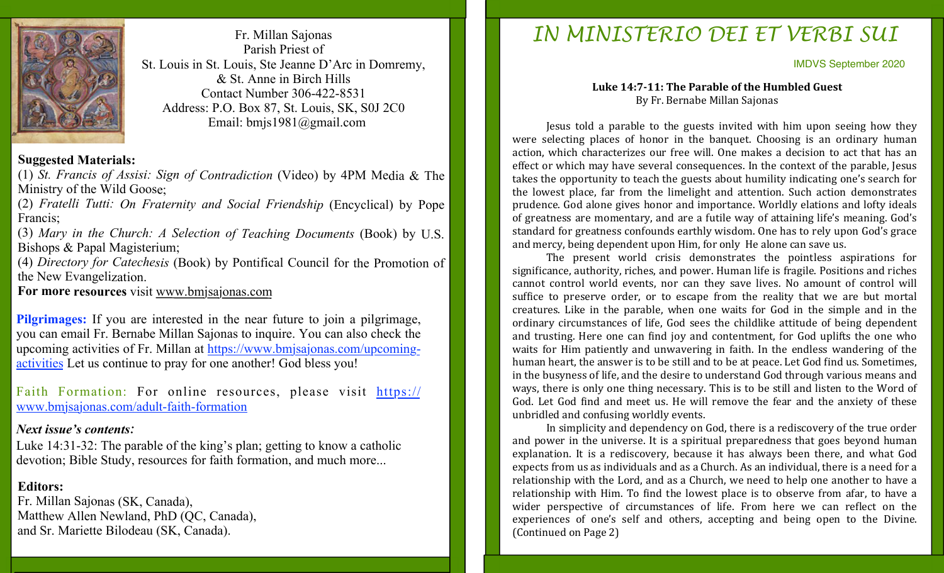

Fr. Millan Sajonas Parish Priest of St. Louis in St. Louis, Ste Jeanne D'Arc in Domremy, & St. Anne in Birch Hills Contact Number 306-422-8531 Address: P.O. Box 87, St. Louis, SK, S0J 2C0 Email: bmjs1981@gmail.com

#### **Suggested Materials:**

(1) *St. Francis of Assisi: Sign of Contradiction* (Video) by 4PM Media & The Ministry of the Wild Goose;

(2) *Fratelli Tutti: On Fraternity and Social Friendship* (Encyclical) by Pope Francis;

(3) *Mary in the Church: A Selection of Teaching Documents* (Book) by U.S. Bishops & Papal Magisterium;

(4) *Directory for Catechesis* (Book) by Pontifical Council for the Promotion of the New Evangelization.

**For more resources** visit www.bmjsajonas.com

**Pilgrimages:** If you are interested in the near future to join a pilgrimage, you can email Fr. Bernabe Millan Sajonas to inquire. You can also check the upcoming activities of Fr. Millan at https://www.bmjsajonas.com/upcomingactivities Let us continue to pray for one another! God bless you!

Faith Formation: For online resources, please visit https:// www.bmjsajonas.com/adult-faith-formation

#### *Next issue's contents:*

Luke 14:31-32: The parable of the king's plan; getting to know a catholic devotion; Bible Study, resources for faith formation, and much more...

## **Editors:**

Fr. Millan Sajonas (SK, Canada), Matthew Allen Newland, PhD (QC, Canada), and Sr. Mariette Bilodeau (SK, Canada).

# *IN MINISTERIO DEI ET VERBI SUI*

IMDVS September 2020

#### Luke 14:7-11: The Parable of the Humbled Guest By Fr. Bernabe Millan Sajonas

Jesus told a parable to the guests invited with him upon seeing how they were selecting places of honor in the banquet. Choosing is an ordinary human action, which characterizes our free will. One makes a decision to act that has an effect or which may have several consequences. In the context of the parable, Jesus takes the opportunity to teach the guests about humility indicating one's search for the lowest place, far from the limelight and attention. Such action demonstrates prudence. God alone gives honor and importance. Worldly elations and lofty ideals of greatness are momentary, and are a futile way of attaining life's meaning. God's standard for greatness confounds earthly wisdom. One has to rely upon God's grace and mercy, being dependent upon Him, for only He alone can save us.

The present world crisis demonstrates the pointless aspirations for significance, authority, riches, and power. Human life is fragile. Positions and riches cannot control world events, nor can they save lives. No amount of control will suffice to preserve order, or to escape from the reality that we are but mortal creatures. Like in the parable, when one waits for God in the simple and in the ordinary circumstances of life, God sees the childlike attitude of being dependent and trusting. Here one can find joy and contentment, for God uplifts the one who waits for Him patiently and unwavering in faith. In the endless wandering of the human heart, the answer is to be still and to be at peace. Let God find us. Sometimes, in the busyness of life, and the desire to understand God through various means and ways, there is only one thing necessary. This is to be still and listen to the Word of God. Let God find and meet us. He will remove the fear and the anxiety of these unbridled and confusing worldly events.

In simplicity and dependency on God, there is a rediscovery of the true order and power in the universe. It is a spiritual preparedness that goes beyond human explanation. It is a rediscovery, because it has always been there, and what God expects from us as individuals and as a Church. As an individual, there is a need for a relationship with the Lord, and as a Church, we need to help one another to have a relationship with Him. To find the lowest place is to observe from afar, to have a wider perspective of circumstances of life. From here we can reflect on the experiences of one's self and others, accepting and being open to the Divine. (Continued on Page 2)